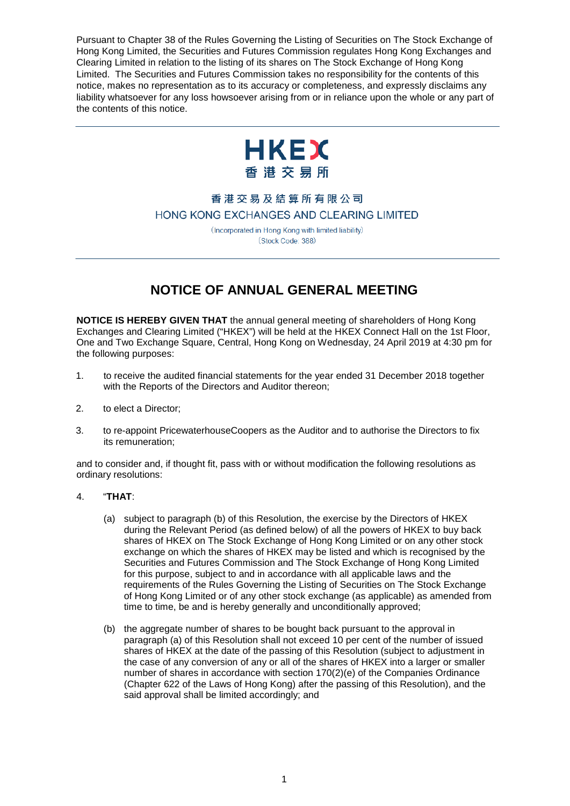Pursuant to Chapter 38 of the Rules Governing the Listing of Securities on The Stock Exchange of Hong Kong Limited, the Securities and Futures Commission regulates Hong Kong Exchanges and Clearing Limited in relation to the listing of its shares on The Stock Exchange of Hong Kong Limited. The Securities and Futures Commission takes no responsibility for the contents of this notice, makes no representation as to its accuracy or completeness, and expressly disclaims any liability whatsoever for any loss howsoever arising from or in reliance upon the whole or any part of the contents of this notice.



# 香港交易及結算所有限公司 HONG KONG EXCHANGES AND CLEARING LIMITED

(Incorporated in Hong Kong with limited liability) (Stock Code: 388)

# **NOTICE OF ANNUAL GENERAL MEETING**

**NOTICE IS HEREBY GIVEN THAT** the annual general meeting of shareholders of Hong Kong Exchanges and Clearing Limited ("HKEX") will be held at the HKEX Connect Hall on the 1st Floor, One and Two Exchange Square, Central, Hong Kong on Wednesday, 24 April 2019 at 4:30 pm for the following purposes:

- 1. to receive the audited financial statements for the year ended 31 December 2018 together with the Reports of the Directors and Auditor thereon;
- 2. to elect a Director;
- 3. to re-appoint PricewaterhouseCoopers as the Auditor and to authorise the Directors to fix its remuneration;

and to consider and, if thought fit, pass with or without modification the following resolutions as ordinary resolutions:

## 4. "**THAT**:

- (a) subject to paragraph (b) of this Resolution, the exercise by the Directors of HKEX during the Relevant Period (as defined below) of all the powers of HKEX to buy back shares of HKEX on The Stock Exchange of Hong Kong Limited or on any other stock exchange on which the shares of HKEX may be listed and which is recognised by the Securities and Futures Commission and The Stock Exchange of Hong Kong Limited for this purpose, subject to and in accordance with all applicable laws and the requirements of the Rules Governing the Listing of Securities on The Stock Exchange of Hong Kong Limited or of any other stock exchange (as applicable) as amended from time to time, be and is hereby generally and unconditionally approved;
- (b) the aggregate number of shares to be bought back pursuant to the approval in paragraph (a) of this Resolution shall not exceed 10 per cent of the number of issued shares of HKEX at the date of the passing of this Resolution (subject to adjustment in the case of any conversion of any or all of the shares of HKEX into a larger or smaller number of shares in accordance with section 170(2)(e) of the Companies Ordinance (Chapter 622 of the Laws of Hong Kong) after the passing of this Resolution), and the said approval shall be limited accordingly; and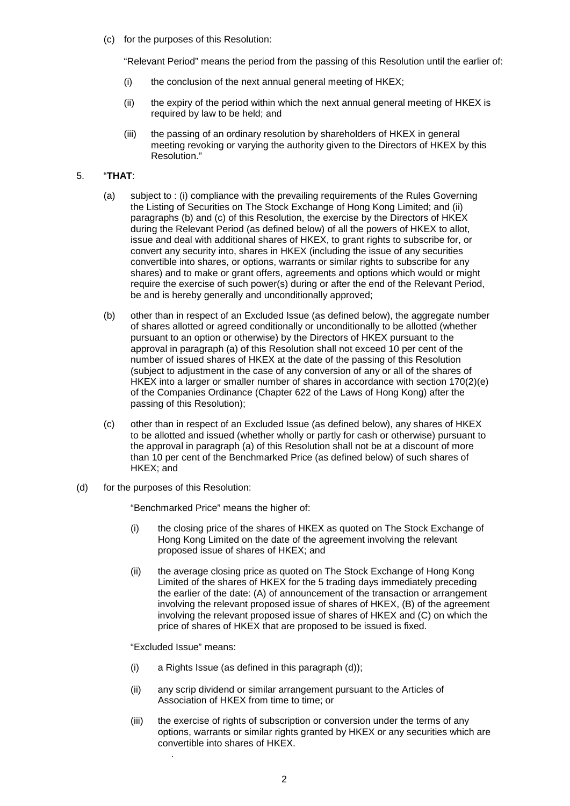(c) for the purposes of this Resolution:

"Relevant Period" means the period from the passing of this Resolution until the earlier of:

- $(i)$  the conclusion of the next annual general meeting of HKEX;
- (ii) the expiry of the period within which the next annual general meeting of HKEX is required by law to be held; and
- (iii) the passing of an ordinary resolution by shareholders of HKEX in general meeting revoking or varying the authority given to the Directors of HKEX by this Resolution."

### 5. "**THAT**:

- (a) subject to : (i) compliance with the prevailing requirements of the Rules Governing the Listing of Securities on The Stock Exchange of Hong Kong Limited; and (ii) paragraphs (b) and (c) of this Resolution, the exercise by the Directors of HKEX during the Relevant Period (as defined below) of all the powers of HKEX to allot, issue and deal with additional shares of HKEX, to grant rights to subscribe for, or convert any security into, shares in HKEX (including the issue of any securities convertible into shares, or options, warrants or similar rights to subscribe for any shares) and to make or grant offers, agreements and options which would or might require the exercise of such power(s) during or after the end of the Relevant Period, be and is hereby generally and unconditionally approved;
- (b) other than in respect of an Excluded Issue (as defined below), the aggregate number of shares allotted or agreed conditionally or unconditionally to be allotted (whether pursuant to an option or otherwise) by the Directors of HKEX pursuant to the approval in paragraph (a) of this Resolution shall not exceed 10 per cent of the number of issued shares of HKEX at the date of the passing of this Resolution (subject to adjustment in the case of any conversion of any or all of the shares of HKEX into a larger or smaller number of shares in accordance with section 170(2)(e) of the Companies Ordinance (Chapter 622 of the Laws of Hong Kong) after the passing of this Resolution);
- (c) other than in respect of an Excluded Issue (as defined below), any shares of HKEX to be allotted and issued (whether wholly or partly for cash or otherwise) pursuant to the approval in paragraph (a) of this Resolution shall not be at a discount of more than 10 per cent of the Benchmarked Price (as defined below) of such shares of HKEX; and
- (d) for the purposes of this Resolution:

"Benchmarked Price" means the higher of:

- (i) the closing price of the shares of HKEX as quoted on The Stock Exchange of Hong Kong Limited on the date of the agreement involving the relevant proposed issue of shares of HKEX; and
- (ii) the average closing price as quoted on The Stock Exchange of Hong Kong Limited of the shares of HKEX for the 5 trading days immediately preceding the earlier of the date: (A) of announcement of the transaction or arrangement involving the relevant proposed issue of shares of HKEX, (B) of the agreement involving the relevant proposed issue of shares of HKEX and (C) on which the price of shares of HKEX that are proposed to be issued is fixed.

"Excluded Issue" means:

.

- (i) a Rights Issue (as defined in this paragraph (d));
- (ii) any scrip dividend or similar arrangement pursuant to the Articles of Association of HKEX from time to time; or
- (iii) the exercise of rights of subscription or conversion under the terms of any options, warrants or similar rights granted by HKEX or any securities which are convertible into shares of HKEX.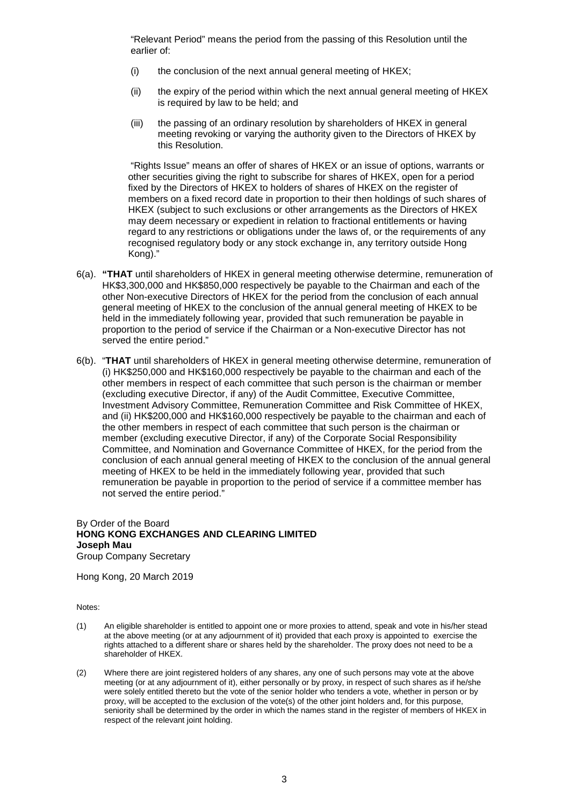"Relevant Period" means the period from the passing of this Resolution until the earlier of:

- (i) the conclusion of the next annual general meeting of HKEX;
- (ii) the expiry of the period within which the next annual general meeting of HKEX is required by law to be held; and
- (iii) the passing of an ordinary resolution by shareholders of HKEX in general meeting revoking or varying the authority given to the Directors of HKEX by this Resolution.

"Rights Issue" means an offer of shares of HKEX or an issue of options, warrants or other securities giving the right to subscribe for shares of HKEX, open for a period fixed by the Directors of HKEX to holders of shares of HKEX on the register of members on a fixed record date in proportion to their then holdings of such shares of HKEX (subject to such exclusions or other arrangements as the Directors of HKEX may deem necessary or expedient in relation to fractional entitlements or having regard to any restrictions or obligations under the laws of, or the requirements of any recognised regulatory body or any stock exchange in, any territory outside Hong Kong)."

- 6(a). **"THAT** until shareholders of HKEX in general meeting otherwise determine, remuneration of HK\$3,300,000 and HK\$850,000 respectively be payable to the Chairman and each of the other Non-executive Directors of HKEX for the period from the conclusion of each annual general meeting of HKEX to the conclusion of the annual general meeting of HKEX to be held in the immediately following year, provided that such remuneration be payable in proportion to the period of service if the Chairman or a Non-executive Director has not served the entire period."
- 6(b). "**THAT** until shareholders of HKEX in general meeting otherwise determine, remuneration of (i) HK\$250,000 and HK\$160,000 respectively be payable to the chairman and each of the other members in respect of each committee that such person is the chairman or member (excluding executive Director, if any) of the Audit Committee, Executive Committee, Investment Advisory Committee, Remuneration Committee and Risk Committee of HKEX, and (ii) HK\$200,000 and HK\$160,000 respectively be payable to the chairman and each of the other members in respect of each committee that such person is the chairman or member (excluding executive Director, if any) of the Corporate Social Responsibility Committee, and Nomination and Governance Committee of HKEX, for the period from the conclusion of each annual general meeting of HKEX to the conclusion of the annual general meeting of HKEX to be held in the immediately following year, provided that such remuneration be payable in proportion to the period of service if a committee member has not served the entire period."

#### By Order of the Board **HONG KONG EXCHANGES AND CLEARING LIMITED Joseph Mau** Group Company Secretary

Hong Kong, 20 March 2019

Notes:

- (1) An eligible shareholder is entitled to appoint one or more proxies to attend, speak and vote in his/her stead at the above meeting (or at any adjournment of it) provided that each proxy is appointed to exercise the rights attached to a different share or shares held by the shareholder. The proxy does not need to be a shareholder of HKEX.
- (2) Where there are joint registered holders of any shares, any one of such persons may vote at the above meeting (or at any adjournment of it), either personally or by proxy, in respect of such shares as if he/she were solely entitled thereto but the vote of the senior holder who tenders a vote, whether in person or by proxy, will be accepted to the exclusion of the vote(s) of the other joint holders and, for this purpose, seniority shall be determined by the order in which the names stand in the register of members of HKEX in respect of the relevant joint holding.